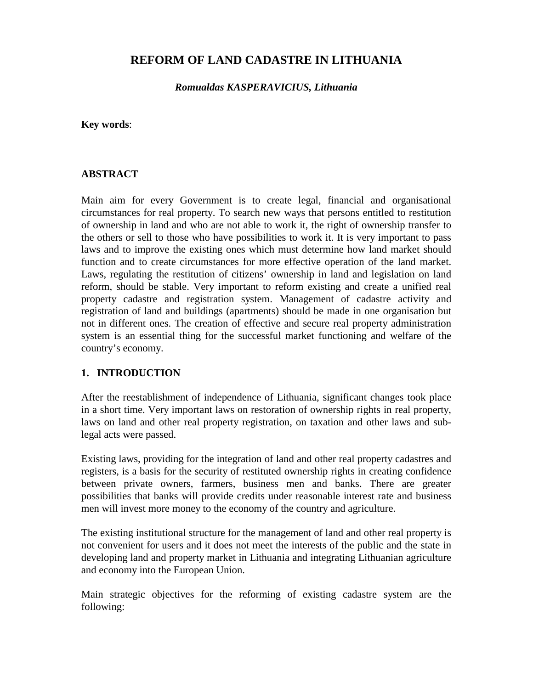## **REFORM OF LAND CADASTRE IN LITHUANIA**

*Romualdas KASPERAVICIUS, Lithuania*

**Key words**:

#### **ABSTRACT**

Main aim for every Government is to create legal, financial and organisational circumstances for real property. To search new ways that persons entitled to restitution of ownership in land and who are not able to work it, the right of ownership transfer to the others or sell to those who have possibilities to work it. It is very important to pass laws and to improve the existing ones which must determine how land market should function and to create circumstances for more effective operation of the land market. Laws, regulating the restitution of citizens' ownership in land and legislation on land reform, should be stable. Very important to reform existing and create a unified real property cadastre and registration system. Management of cadastre activity and registration of land and buildings (apartments) should be made in one organisation but not in different ones. The creation of effective and secure real property administration system is an essential thing for the successful market functioning and welfare of the country's economy.

### **1. INTRODUCTION**

After the reestablishment of independence of Lithuania, significant changes took place in a short time. Very important laws on restoration of ownership rights in real property, laws on land and other real property registration, on taxation and other laws and sublegal acts were passed.

Existing laws, providing for the integration of land and other real property cadastres and registers, is a basis for the security of restituted ownership rights in creating confidence between private owners, farmers, business men and banks. There are greater possibilities that banks will provide credits under reasonable interest rate and business men will invest more money to the economy of the country and agriculture.

The existing institutional structure for the management of land and other real property is not convenient for users and it does not meet the interests of the public and the state in developing land and property market in Lithuania and integrating Lithuanian agriculture and economy into the European Union.

Main strategic objectives for the reforming of existing cadastre system are the following: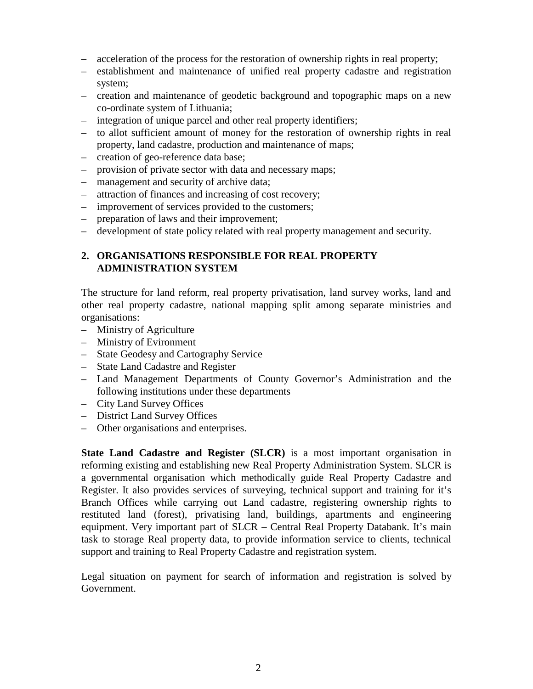- acceleration of the process for the restoration of ownership rights in real property;
- establishment and maintenance of unified real property cadastre and registration system;
- creation and maintenance of geodetic background and topographic maps on a new co-ordinate system of Lithuania;
- integration of unique parcel and other real property identifiers;
- to allot sufficient amount of money for the restoration of ownership rights in real property, land cadastre, production and maintenance of maps;
- creation of geo-reference data base;
- provision of private sector with data and necessary maps;
- management and security of archive data;
- attraction of finances and increasing of cost recovery;
- improvement of services provided to the customers;
- preparation of laws and their improvement;
- development of state policy related with real property management and security.

#### **2. ORGANISATIONS RESPONSIBLE FOR REAL PROPERTY ADMINISTRATION SYSTEM**

The structure for land reform, real property privatisation, land survey works, land and other real property cadastre, national mapping split among separate ministries and organisations:

- Ministry of Agriculture
- Ministry of Evironment
- State Geodesy and Cartography Service
- State Land Cadastre and Register
- Land Management Departments of County Governor's Administration and the following institutions under these departments
- City Land Survey Offices
- District Land Survey Offices
- Other organisations and enterprises.

**State Land Cadastre and Register (SLCR)** is a most important organisation in reforming existing and establishing new Real Property Administration System. SLCR is a governmental organisation which methodically guide Real Property Cadastre and Register. It also provides services of surveying, technical support and training for it's Branch Offices while carrying out Land cadastre, registering ownership rights to restituted land (forest), privatising land, buildings, apartments and engineering equipment. Very important part of SLCR – Central Real Property Databank. It's main task to storage Real property data, to provide information service to clients, technical support and training to Real Property Cadastre and registration system.

Legal situation on payment for search of information and registration is solved by Government.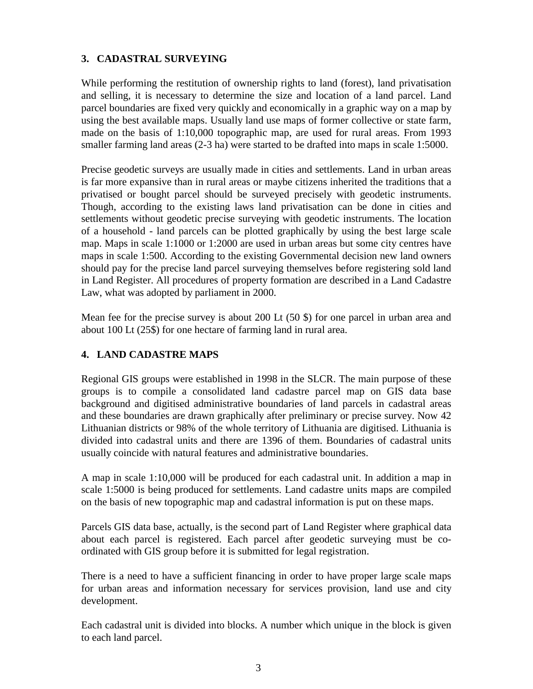## **3. CADASTRAL SURVEYING**

While performing the restitution of ownership rights to land (forest), land privatisation and selling, it is necessary to determine the size and location of a land parcel. Land parcel boundaries are fixed very quickly and economically in a graphic way on a map by using the best available maps. Usually land use maps of former collective or state farm, made on the basis of 1:10,000 topographic map, are used for rural areas. From 1993 smaller farming land areas (2-3 ha) were started to be drafted into maps in scale 1:5000.

Precise geodetic surveys are usually made in cities and settlements. Land in urban areas is far more expansive than in rural areas or maybe citizens inherited the traditions that a privatised or bought parcel should be surveyed precisely with geodetic instruments. Though, according to the existing laws land privatisation can be done in cities and settlements without geodetic precise surveying with geodetic instruments. The location of a household - land parcels can be plotted graphically by using the best large scale map. Maps in scale 1:1000 or 1:2000 are used in urban areas but some city centres have maps in scale 1:500. According to the existing Governmental decision new land owners should pay for the precise land parcel surveying themselves before registering sold land in Land Register. All procedures of property formation are described in a Land Cadastre Law, what was adopted by parliament in 2000.

Mean fee for the precise survey is about 200 Lt (50 \$) for one parcel in urban area and about 100 Lt (25\$) for one hectare of farming land in rural area.

# **4. LAND CADASTRE MAPS**

Regional GIS groups were established in 1998 in the SLCR. The main purpose of these groups is to compile a consolidated land cadastre parcel map on GIS data base background and digitised administrative boundaries of land parcels in cadastral areas and these boundaries are drawn graphically after preliminary or precise survey. Now 42 Lithuanian districts or 98% of the whole territory of Lithuania are digitised. Lithuania is divided into cadastral units and there are 1396 of them. Boundaries of cadastral units usually coincide with natural features and administrative boundaries.

A map in scale 1:10,000 will be produced for each cadastral unit. In addition a map in scale 1:5000 is being produced for settlements. Land cadastre units maps are compiled on the basis of new topographic map and cadastral information is put on these maps.

Parcels GIS data base, actually, is the second part of Land Register where graphical data about each parcel is registered. Each parcel after geodetic surveying must be coordinated with GIS group before it is submitted for legal registration.

There is a need to have a sufficient financing in order to have proper large scale maps for urban areas and information necessary for services provision, land use and city development.

Each cadastral unit is divided into blocks. A number which unique in the block is given to each land parcel.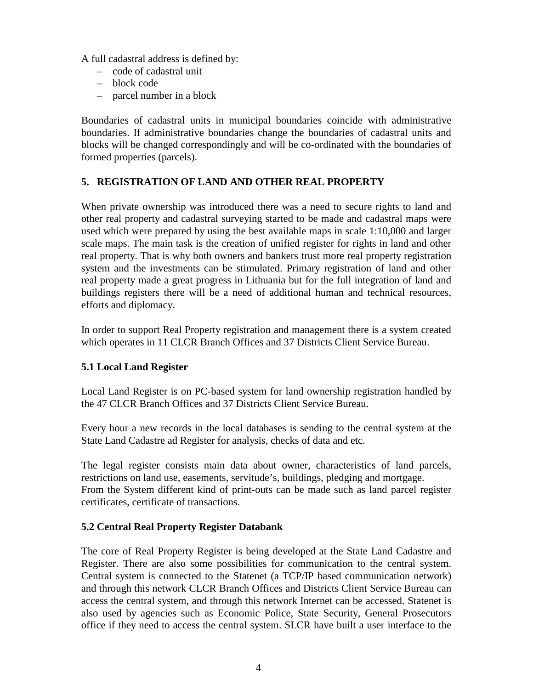A full cadastral address is defined by:

- code of cadastral unit
- block code
- parcel number in a block

Boundaries of cadastral units in municipal boundaries coincide with administrative boundaries. If administrative boundaries change the boundaries of cadastral units and blocks will be changed correspondingly and will be co-ordinated with the boundaries of formed properties (parcels).

## **5. REGISTRATION OF LAND AND OTHER REAL PROPERTY**

When private ownership was introduced there was a need to secure rights to land and other real property and cadastral surveying started to be made and cadastral maps were used which were prepared by using the best available maps in scale 1:10,000 and larger scale maps. The main task is the creation of unified register for rights in land and other real property. That is why both owners and bankers trust more real property registration system and the investments can be stimulated. Primary registration of land and other real property made a great progress in Lithuania but for the full integration of land and buildings registers there will be a need of additional human and technical resources, efforts and diplomacy.

In order to support Real Property registration and management there is a system created which operates in 11 CLCR Branch Offices and 37 Districts Client Service Bureau.

### **5.1 Local Land Register**

Local Land Register is on PC-based system for land ownership registration handled by the 47 CLCR Branch Offices and 37 Districts Client Service Bureau.

Every hour a new records in the local databases is sending to the central system at the State Land Cadastre ad Register for analysis, checks of data and etc.

The legal register consists main data about owner, characteristics of land parcels, restrictions on land use, easements, servitude's, buildings, pledging and mortgage. From the System different kind of print-outs can be made such as land parcel register certificates, certificate of transactions.

### **5.2 Central Real Property Register Databank**

The core of Real Property Register is being developed at the State Land Cadastre and Register. There are also some possibilities for communication to the central system. Central system is connected to the Statenet (a TCP/IP based communication network) and through this network CLCR Branch Offices and Districts Client Service Bureau can access the central system, and through this network Internet can be accessed. Statenet is also used by agencies such as Economic Police, State Security, General Prosecutors office if they need to access the central system. SLCR have built a user interface to the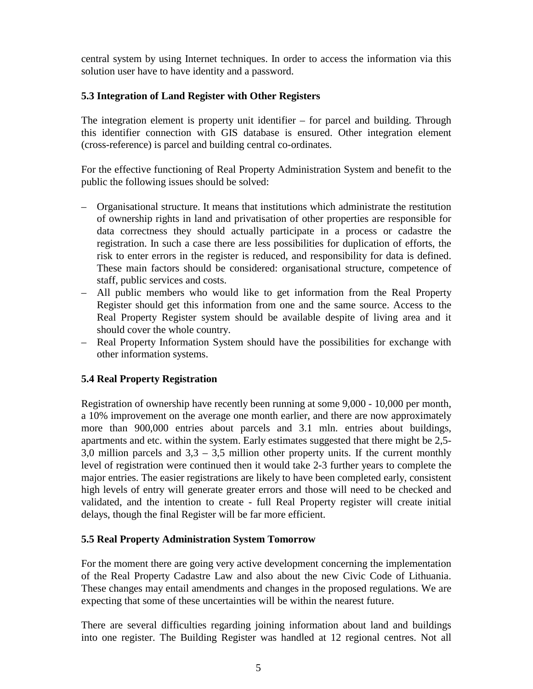central system by using Internet techniques. In order to access the information via this solution user have to have identity and a password.

#### **5.3 Integration of Land Register with Other Registers**

The integration element is property unit identifier – for parcel and building. Through this identifier connection with GIS database is ensured. Other integration element (cross-reference) is parcel and building central co-ordinates.

For the effective functioning of Real Property Administration System and benefit to the public the following issues should be solved:

- Organisational structure. It means that institutions which administrate the restitution of ownership rights in land and privatisation of other properties are responsible for data correctness they should actually participate in a process or cadastre the registration. In such a case there are less possibilities for duplication of efforts, the risk to enter errors in the register is reduced, and responsibility for data is defined. These main factors should be considered: organisational structure, competence of staff, public services and costs.
- All public members who would like to get information from the Real Property Register should get this information from one and the same source. Access to the Real Property Register system should be available despite of living area and it should cover the whole country.
- Real Property Information System should have the possibilities for exchange with other information systems.

### **5.4 Real Property Registration**

Registration of ownership have recently been running at some 9,000 - 10,000 per month, a 10% improvement on the average one month earlier, and there are now approximately more than 900,000 entries about parcels and 3.1 mln. entries about buildings, apartments and etc. within the system. Early estimates suggested that there might be 2,5- 3,0 million parcels and  $3,3 - 3,5$  million other property units. If the current monthly level of registration were continued then it would take 2-3 further years to complete the major entries. The easier registrations are likely to have been completed early, consistent high levels of entry will generate greater errors and those will need to be checked and validated, and the intention to create - full Real Property register will create initial delays, though the final Register will be far more efficient.

#### **5.5 Real Property Administration System Tomorrow**

For the moment there are going very active development concerning the implementation of the Real Property Cadastre Law and also about the new Civic Code of Lithuania. These changes may entail amendments and changes in the proposed regulations. We are expecting that some of these uncertainties will be within the nearest future.

There are several difficulties regarding joining information about land and buildings into one register. The Building Register was handled at 12 regional centres. Not all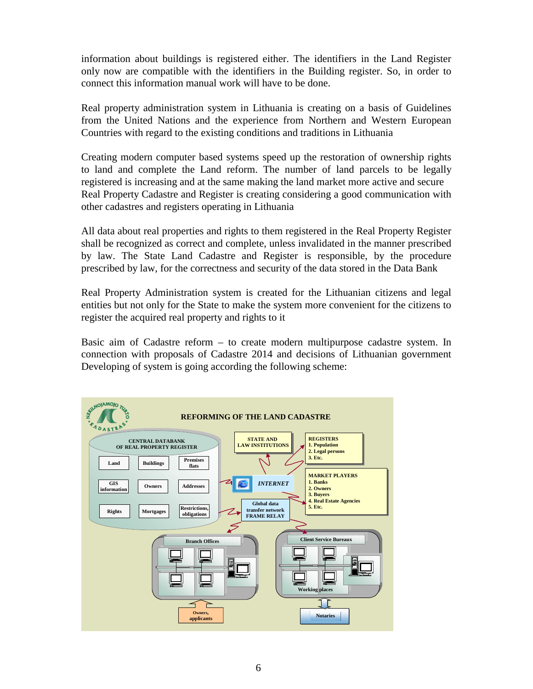information about buildings is registered either. The identifiers in the Land Register only now are compatible with the identifiers in the Building register. So, in order to connect this information manual work will have to be done.

Real property administration system in Lithuania is creating on a basis of Guidelines from the United Nations and the experience from Northern and Western European Countries with regard to the existing conditions and traditions in Lithuania

Creating modern computer based systems speed up the restoration of ownership rights to land and complete the Land reform. The number of land parcels to be legally registered is increasing and at the same making the land market more active and secure Real Property Cadastre and Register is creating considering a good communication with other cadastres and registers operating in Lithuania

All data about real properties and rights to them registered in the Real Property Register shall be recognized as correct and complete, unless invalidated in the manner prescribed by law. The State Land Cadastre and Register is responsible, by the procedure prescribed by law, for the correctness and security of the data stored in the Data Bank

Real Property Administration system is created for the Lithuanian citizens and legal entities but not only for the State to make the system more convenient for the citizens to register the acquired real property and rights to it

Basic aim of Cadastre reform – to create modern multipurpose cadastre system. In connection with proposals of Cadastre 2014 and decisions of Lithuanian government Developing of system is going according the following scheme:

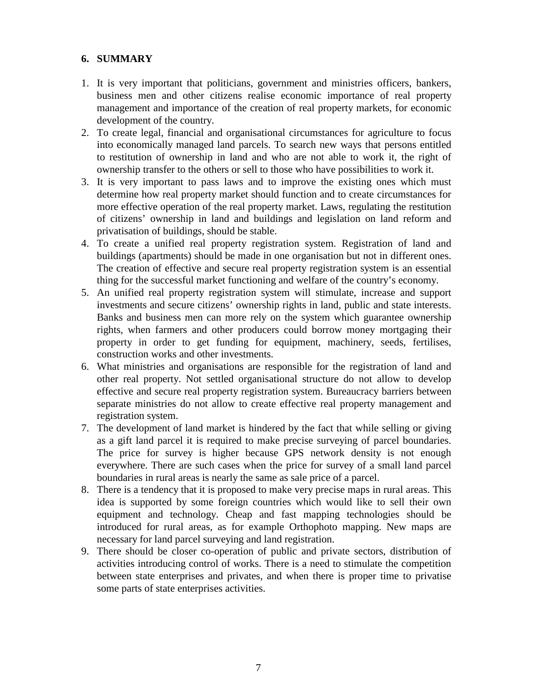### **6. SUMMARY**

- 1. It is very important that politicians, government and ministries officers, bankers, business men and other citizens realise economic importance of real property management and importance of the creation of real property markets, for economic development of the country.
- 2. To create legal, financial and organisational circumstances for agriculture to focus into economically managed land parcels. To search new ways that persons entitled to restitution of ownership in land and who are not able to work it, the right of ownership transfer to the others or sell to those who have possibilities to work it.
- 3. It is very important to pass laws and to improve the existing ones which must determine how real property market should function and to create circumstances for more effective operation of the real property market. Laws, regulating the restitution of citizens' ownership in land and buildings and legislation on land reform and privatisation of buildings, should be stable.
- 4. To create a unified real property registration system. Registration of land and buildings (apartments) should be made in one organisation but not in different ones. The creation of effective and secure real property registration system is an essential thing for the successful market functioning and welfare of the country's economy.
- 5. An unified real property registration system will stimulate, increase and support investments and secure citizens' ownership rights in land, public and state interests. Banks and business men can more rely on the system which guarantee ownership rights, when farmers and other producers could borrow money mortgaging their property in order to get funding for equipment, machinery, seeds, fertilises, construction works and other investments.
- 6. What ministries and organisations are responsible for the registration of land and other real property. Not settled organisational structure do not allow to develop effective and secure real property registration system. Bureaucracy barriers between separate ministries do not allow to create effective real property management and registration system.
- 7. The development of land market is hindered by the fact that while selling or giving as a gift land parcel it is required to make precise surveying of parcel boundaries. The price for survey is higher because GPS network density is not enough everywhere. There are such cases when the price for survey of a small land parcel boundaries in rural areas is nearly the same as sale price of a parcel.
- 8. There is a tendency that it is proposed to make very precise maps in rural areas. This idea is supported by some foreign countries which would like to sell their own equipment and technology. Cheap and fast mapping technologies should be introduced for rural areas, as for example Orthophoto mapping. New maps are necessary for land parcel surveying and land registration.
- 9. There should be closer co-operation of public and private sectors, distribution of activities introducing control of works. There is a need to stimulate the competition between state enterprises and privates, and when there is proper time to privatise some parts of state enterprises activities.